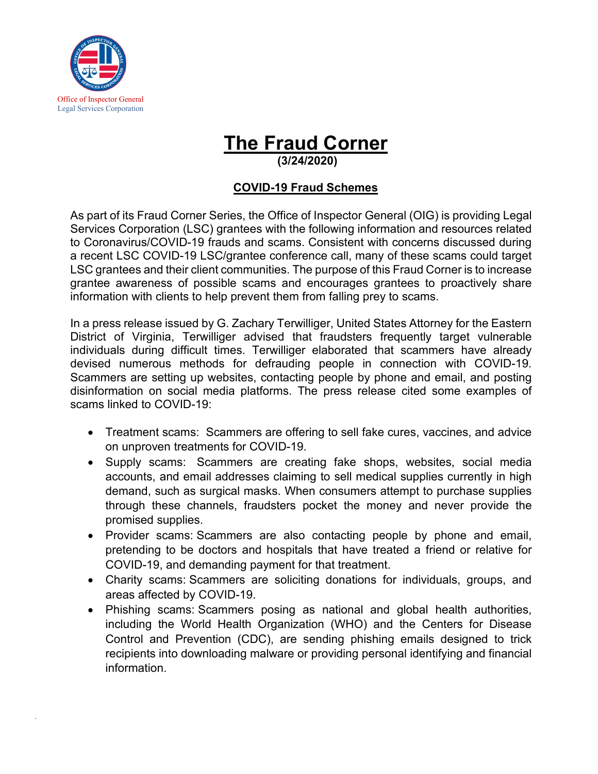

*.*

## **The Fraud Corner**

**(3/24/2020)**

## **COVID-19 Fraud Schemes**

As part of its Fraud Corner Series, the Office of Inspector General (OIG) is providing Legal Services Corporation (LSC) grantees with the following information and resources related to Coronavirus/COVID-19 frauds and scams. Consistent with concerns discussed during a recent LSC COVID-19 LSC/grantee conference call, many of these scams could target LSC grantees and their client communities. The purpose of this Fraud Corner is to increase grantee awareness of possible scams and encourages grantees to proactively share information with clients to help prevent them from falling prey to scams.

In a press release issued by G. Zachary Terwilliger, United States Attorney for the Eastern District of Virginia, Terwilliger advised that fraudsters frequently target vulnerable individuals during difficult times. Terwilliger elaborated that scammers have already devised numerous methods for defrauding people in connection with COVID-19. Scammers are setting up websites, contacting people by phone and email, and posting disinformation on social media platforms. The press release cited some examples of scams linked to COVID-19:

- Treatment scams: Scammers are offering to sell fake cures, vaccines, and advice on unproven treatments for COVID-19.
- Supply scams: Scammers are creating fake shops, websites, social media accounts, and email addresses claiming to sell medical supplies currently in high demand, such as surgical masks. When consumers attempt to purchase supplies through these channels, fraudsters pocket the money and never provide the promised supplies.
- Provider scams: Scammers are also contacting people by phone and email, pretending to be doctors and hospitals that have treated a friend or relative for COVID-19, and demanding payment for that treatment.
- Charity scams: Scammers are soliciting donations for individuals, groups, and areas affected by COVID-19.
- Phishing scams: Scammers posing as national and global health authorities, including the World Health Organization (WHO) and the Centers for Disease Control and Prevention (CDC), are sending phishing emails designed to trick recipients into downloading malware or providing personal identifying and financial information.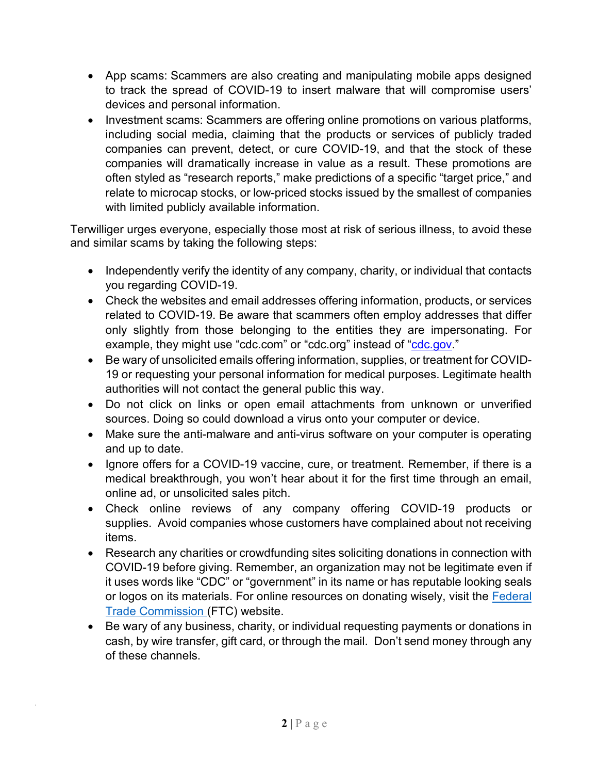- App scams: Scammers are also creating and manipulating mobile apps designed to track the spread of COVID-19 to insert malware that will compromise users' devices and personal information.
- Investment scams: Scammers are offering online promotions on various platforms, including social media, claiming that the products or services of publicly traded companies can prevent, detect, or cure COVID-19, and that the stock of these companies will dramatically increase in value as a result. These promotions are often styled as "research reports," make predictions of a specific "target price," and relate to microcap stocks, or low-priced stocks issued by the smallest of companies with limited publicly available information.

Terwilliger urges everyone, especially those most at risk of serious illness, to avoid these and similar scams by taking the following steps:

- Independently verify the identity of any company, charity, or individual that contacts you regarding COVID-19.
- Check the websites and email addresses offering information, products, or services related to COVID-19. Be aware that scammers often employ addresses that differ only slightly from those belonging to the entities they are impersonating. For example, they might use ["cdc.com"](https://linkprotect.cudasvc.com/url?a=http%3a%2f%2fcdc.com&c=E,1,8CImMdKwyhQEiwNZ1wBSvl3sxO2iFhO1cIUYL4ZHJ5U7G35E2rlIX5r4-LQM0s55b4VqqVdoF2OhaeieA2QbeZq-AdSq0g9q4q8dWJ1OF8SQRtMcHlsnIrA,&typo=1) or ["cdc.org"](https://linkprotect.cudasvc.com/url?a=http%3a%2f%2fcdc.org&c=E,1,pqixUSSz6kjS7x3H6wSvNhO31vCqQur_77kCncB5zLPyLMJd0g4g-PVB7Bm45xwV3QHNeP7VVjlM4FNpGgbXQcopJzgeojZGgCsoNmcybcgMN4NYEA,,&typo=1) instead of ["cdc.gov.](http://www.cdc.gov/)"
- Be wary of unsolicited emails offering information, supplies, or treatment for COVID-19 or requesting your personal information for medical purposes. Legitimate health authorities will not contact the general public this way.
- Do not click on links or open email attachments from unknown or unverified sources. Doing so could download a virus onto your computer or device.
- Make sure the anti-malware and anti-virus software on your computer is operating and up to date.
- Ignore offers for a COVID-19 vaccine, cure, or treatment. Remember, if there is a medical breakthrough, you won't hear about it for the first time through an email, online ad, or unsolicited sales pitch.
- Check online reviews of any company offering COVID-19 products or supplies. Avoid companies whose customers have complained about not receiving items.
- Research any charities or crowdfunding sites soliciting donations in connection with COVID-19 before giving. Remember, an organization may not be legitimate even if it uses words like "CDC" or "government" in its name or has reputable looking seals or logos on its materials. For online resources on donating wisely, visit the Federal [Trade Commission](https://www.consumer.ftc.gov/features/how-donate-wisely-and-avoid-charity-scams#research) (FTC) website.
- Be wary of any business, charity, or individual requesting payments or donations in cash, by wire transfer, gift card, or through the mail. Don't send money through any of these channels.

*.*